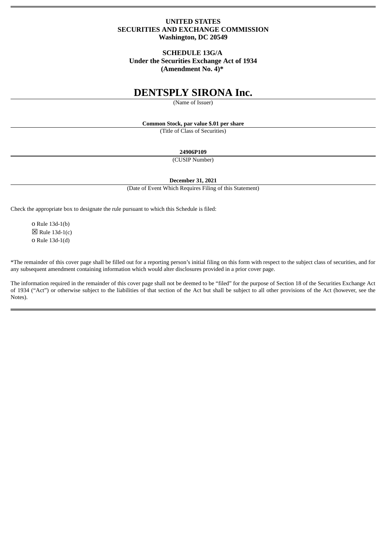# **UNITED STATES SECURITIES AND EXCHANGE COMMISSION Washington, DC 20549**

# **SCHEDULE 13G/A Under the Securities Exchange Act of 1934 (Amendment No. 4)\***

# **DENTSPLY SIRONA Inc.**

(Name of Issuer)

**Common Stock, par value \$.01 per share**

(Title of Class of Securities)

**24906P109**

(CUSIP Number)

**December 31, 2021**

(Date of Event Which Requires Filing of this Statement)

Check the appropriate box to designate the rule pursuant to which this Schedule is filed:

o Rule 13d-1(b)  $\boxtimes$  Rule 13d-1(c) o Rule 13d-1(d)

\*The remainder of this cover page shall be filled out for a reporting person's initial filing on this form with respect to the subject class of securities, and for any subsequent amendment containing information which would alter disclosures provided in a prior cover page.

The information required in the remainder of this cover page shall not be deemed to be "filed" for the purpose of Section 18 of the Securities Exchange Act of 1934 ("Act") or otherwise subject to the liabilities of that section of the Act but shall be subject to all other provisions of the Act (however, see the Notes).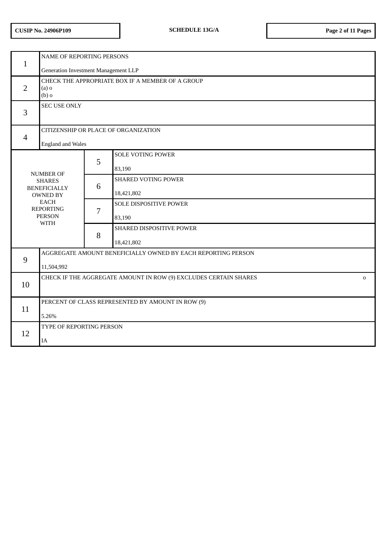| $\mathbf{1}$                                                 | <b>NAME OF REPORTING PERSONS</b>                                                |   |                            |  |  |
|--------------------------------------------------------------|---------------------------------------------------------------------------------|---|----------------------------|--|--|
|                                                              | Generation Investment Management LLP                                            |   |                            |  |  |
| $\overline{2}$                                               | CHECK THE APPROPRIATE BOX IF A MEMBER OF A GROUP<br>(a)<br>$(b)$ o              |   |                            |  |  |
| 3                                                            | <b>SEC USE ONLY</b>                                                             |   |                            |  |  |
|                                                              | CITIZENSHIP OR PLACE OF ORGANIZATION                                            |   |                            |  |  |
| $\overline{4}$                                               | <b>England and Wales</b>                                                        |   |                            |  |  |
|                                                              |                                                                                 |   | <b>SOLE VOTING POWER</b>   |  |  |
|                                                              |                                                                                 | 5 | 83,190                     |  |  |
|                                                              | <b>NUMBER OF</b><br><b>SHARES</b><br><b>BENEFICIALLY</b><br><b>OWNED BY</b>     |   | <b>SHARED VOTING POWER</b> |  |  |
|                                                              |                                                                                 |   | 18,421,802                 |  |  |
|                                                              | <b>EACH</b><br><b>REPORTING</b>                                                 | 7 | SOLE DISPOSITIVE POWER     |  |  |
|                                                              | <b>PERSON</b>                                                                   |   | 83,190                     |  |  |
|                                                              | <b>WITH</b>                                                                     | 8 | SHARED DISPOSITIVE POWER   |  |  |
|                                                              |                                                                                 |   | 18,421,802                 |  |  |
| AGGREGATE AMOUNT BENEFICIALLY OWNED BY EACH REPORTING PERSON |                                                                                 |   |                            |  |  |
| 9                                                            | 11,504,992                                                                      |   |                            |  |  |
| 10                                                           | CHECK IF THE AGGREGATE AMOUNT IN ROW (9) EXCLUDES CERTAIN SHARES<br>$\mathbf 0$ |   |                            |  |  |
|                                                              |                                                                                 |   |                            |  |  |
|                                                              | PERCENT OF CLASS REPRESENTED BY AMOUNT IN ROW (9)                               |   |                            |  |  |
| 11                                                           | 5.26%                                                                           |   |                            |  |  |
|                                                              | TYPE OF REPORTING PERSON                                                        |   |                            |  |  |
| 12                                                           | <b>IA</b>                                                                       |   |                            |  |  |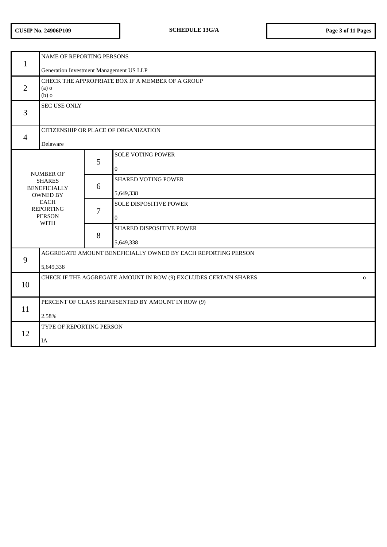| $\mathbf{1}$                                                                                                                                   | NAME OF REPORTING PERSONS<br>Generation Investment Management US LLP            |   |                                                              |  |  |
|------------------------------------------------------------------------------------------------------------------------------------------------|---------------------------------------------------------------------------------|---|--------------------------------------------------------------|--|--|
| $\overline{2}$                                                                                                                                 | CHECK THE APPROPRIATE BOX IF A MEMBER OF A GROUP<br>$(a)$ o<br>$(b)$ o          |   |                                                              |  |  |
| 3                                                                                                                                              | <b>SEC USE ONLY</b>                                                             |   |                                                              |  |  |
| $\overline{4}$                                                                                                                                 | CITIZENSHIP OR PLACE OF ORGANIZATION<br>Delaware                                |   |                                                              |  |  |
| <b>NUMBER OF</b><br><b>SHARES</b><br><b>BENEFICIALLY</b><br><b>OWNED BY</b><br><b>EACH</b><br><b>REPORTING</b><br><b>PERSON</b><br><b>WITH</b> |                                                                                 | 5 | <b>SOLE VOTING POWER</b><br>$\mathbf{0}$                     |  |  |
|                                                                                                                                                |                                                                                 | 6 | <b>SHARED VOTING POWER</b><br>5,649,338                      |  |  |
|                                                                                                                                                |                                                                                 | 7 | SOLE DISPOSITIVE POWER<br>$\bf{0}$                           |  |  |
|                                                                                                                                                |                                                                                 | 8 | SHARED DISPOSITIVE POWER<br>5,649,338                        |  |  |
| 9                                                                                                                                              |                                                                                 |   | AGGREGATE AMOUNT BENEFICIALLY OWNED BY EACH REPORTING PERSON |  |  |
|                                                                                                                                                | 5,649,338                                                                       |   |                                                              |  |  |
| 10                                                                                                                                             | CHECK IF THE AGGREGATE AMOUNT IN ROW (9) EXCLUDES CERTAIN SHARES<br>$\mathbf 0$ |   |                                                              |  |  |
| 11                                                                                                                                             | PERCENT OF CLASS REPRESENTED BY AMOUNT IN ROW (9)                               |   |                                                              |  |  |
|                                                                                                                                                | 2.58%                                                                           |   |                                                              |  |  |
| 12                                                                                                                                             | TYPE OF REPORTING PERSON                                                        |   |                                                              |  |  |
|                                                                                                                                                | IA                                                                              |   |                                                              |  |  |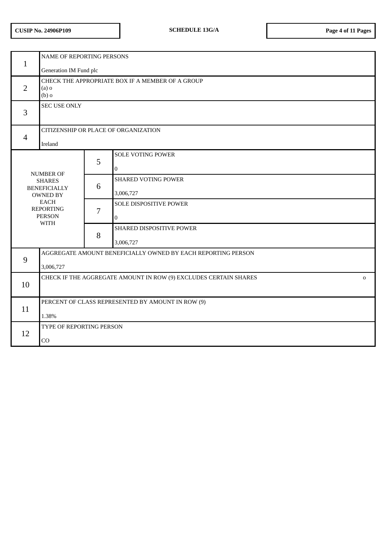| $\mathbf{1}$                                                                                                                                   | NAME OF REPORTING PERSONS<br>Generation IM Fund plc                             |   |                                            |  |  |
|------------------------------------------------------------------------------------------------------------------------------------------------|---------------------------------------------------------------------------------|---|--------------------------------------------|--|--|
| $\overline{2}$                                                                                                                                 | CHECK THE APPROPRIATE BOX IF A MEMBER OF A GROUP<br>$(a)$ o<br>$(b)$ o          |   |                                            |  |  |
| 3                                                                                                                                              | <b>SEC USE ONLY</b>                                                             |   |                                            |  |  |
| $\overline{4}$                                                                                                                                 | CITIZENSHIP OR PLACE OF ORGANIZATION<br>Ireland                                 |   |                                            |  |  |
|                                                                                                                                                |                                                                                 | 5 | <b>SOLE VOTING POWER</b><br>$\overline{0}$ |  |  |
| <b>NUMBER OF</b><br><b>SHARES</b><br><b>BENEFICIALLY</b><br><b>OWNED BY</b><br><b>EACH</b><br><b>REPORTING</b><br><b>PERSON</b><br><b>WITH</b> |                                                                                 | 6 | <b>SHARED VOTING POWER</b><br>3,006,727    |  |  |
|                                                                                                                                                |                                                                                 | 7 | SOLE DISPOSITIVE POWER<br>$\mathbf{0}$     |  |  |
|                                                                                                                                                |                                                                                 | 8 | SHARED DISPOSITIVE POWER<br>3,006,727      |  |  |
| 9                                                                                                                                              | AGGREGATE AMOUNT BENEFICIALLY OWNED BY EACH REPORTING PERSON<br>3,006,727       |   |                                            |  |  |
| 10                                                                                                                                             | CHECK IF THE AGGREGATE AMOUNT IN ROW (9) EXCLUDES CERTAIN SHARES<br>$\mathbf 0$ |   |                                            |  |  |
| 11                                                                                                                                             | PERCENT OF CLASS REPRESENTED BY AMOUNT IN ROW (9)<br>1.38%                      |   |                                            |  |  |
| 12                                                                                                                                             | TYPE OF REPORTING PERSON<br>CO                                                  |   |                                            |  |  |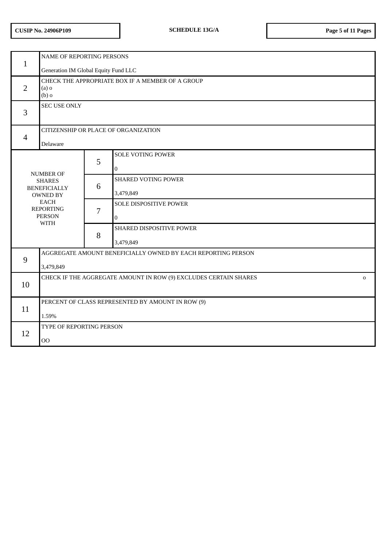|                                                                                                                                 | NAME OF REPORTING PERSONS                                                        |   |                                           |  |  |  |
|---------------------------------------------------------------------------------------------------------------------------------|----------------------------------------------------------------------------------|---|-------------------------------------------|--|--|--|
| $\mathbf{1}$                                                                                                                    | Generation IM Global Equity Fund LLC                                             |   |                                           |  |  |  |
| $\overline{2}$                                                                                                                  | CHECK THE APPROPRIATE BOX IF A MEMBER OF A GROUP<br>$(a)$ o<br>$(b)$ o           |   |                                           |  |  |  |
| 3                                                                                                                               | <b>SEC USE ONLY</b>                                                              |   |                                           |  |  |  |
|                                                                                                                                 | CITIZENSHIP OR PLACE OF ORGANIZATION                                             |   |                                           |  |  |  |
| $\overline{4}$                                                                                                                  | Delaware                                                                         |   |                                           |  |  |  |
|                                                                                                                                 |                                                                                  | 5 | <b>SOLE VOTING POWER</b><br>$\bf{0}$      |  |  |  |
| <b>NUMBER OF</b><br><b>SHARES</b><br><b>BENEFICIALLY</b><br><b>OWNED BY</b><br><b>EACH</b><br><b>REPORTING</b><br><b>PERSON</b> |                                                                                  | 6 | <b>SHARED VOTING POWER</b><br>3,479,849   |  |  |  |
|                                                                                                                                 |                                                                                  | 7 | <b>SOLE DISPOSITIVE POWER</b><br>$\bf{0}$ |  |  |  |
|                                                                                                                                 | <b>WITH</b>                                                                      | 8 | SHARED DISPOSITIVE POWER<br>3,479,849     |  |  |  |
| 9                                                                                                                               | AGGREGATE AMOUNT BENEFICIALLY OWNED BY EACH REPORTING PERSON<br>3,479,849        |   |                                           |  |  |  |
| 10                                                                                                                              | CHECK IF THE AGGREGATE AMOUNT IN ROW (9) EXCLUDES CERTAIN SHARES<br>$\mathbf{O}$ |   |                                           |  |  |  |
| 11                                                                                                                              | PERCENT OF CLASS REPRESENTED BY AMOUNT IN ROW (9)<br>1.59%                       |   |                                           |  |  |  |
| 12                                                                                                                              | TYPE OF REPORTING PERSON<br>00                                                   |   |                                           |  |  |  |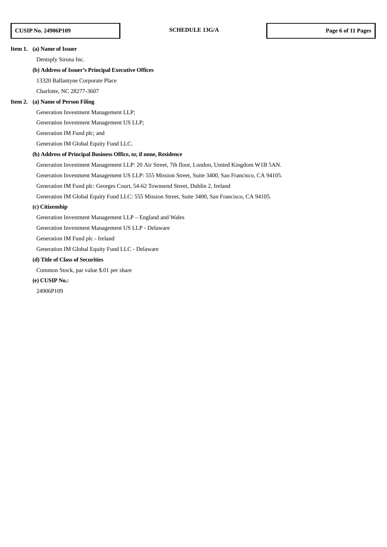#### **Item 1. (a) Name of Issuer**

Dentsply Sirona Inc.

### **(b) Address of Issuer's Principal Executive Offices**

13320 Ballantyne Corporate Place

Charlotte, NC 28277-3607

#### **Item 2. (a) Name of Person Filing**

Generation Investment Management LLP;

Generation Investment Management US LLP;

Generation IM Fund plc; and

Generation IM Global Equity Fund LLC.

### **(b) Address of Principal Business Office, or, if none, Residence**

Generation Investment Management LLP: 20 Air Street, 7th floor, London, United Kingdom W1B 5AN.

Generation Investment Management US LLP: 555 Mission Street, Suite 3400, San Francisco, CA 94105.

Generation IM Fund plc: Georges Court, 54-62 Townsend Street, Dublin 2, Ireland

Generation IM Global Equity Fund LLC: 555 Mission Street, Suite 3400, San Francisco, CA 94105.

#### **(c) Citizenship**

Generation Investment Management LLP – England and Wales

Generation Investment Management US LLP - Delaware

Generation IM Fund plc - Ireland

Generation IM Global Equity Fund LLC - Delaware

# **(d) Title of Class of Securities**

Common Stock, par value \$.01 per share

# **(e) CUSIP No.:**

24906P109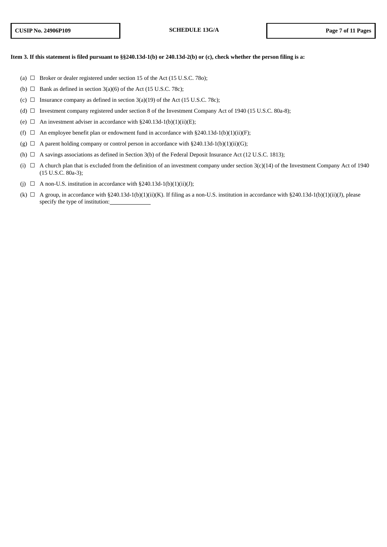# Item 3. If this statement is filed pursuant to §§240.13d-1(b) or 240.13d-2(b) or (c), check whether the person filing is a:

- (a)  $\Box$  Broker or dealer registered under section 15 of the Act (15 U.S.C. 78o);
- (b)  $\Box$  Bank as defined in section 3(a)(6) of the Act (15 U.S.C. 78c);
- (c)  $\Box$  Insurance company as defined in section 3(a)(19) of the Act (15 U.S.C. 78c);
- (d)  $\Box$  Investment company registered under section 8 of the Investment Company Act of 1940 (15 U.S.C. 80a-8);
- (e)  $\Box$  An investment adviser in accordance with §240.13d-1(b)(1)(ii)(E);
- (f)  $\Box$  An employee benefit plan or endowment fund in accordance with §240.13d-1(b)(1)(ii)(F);
- (g)  $\Box$  A parent holding company or control person in accordance with §240.13d-1(b)(1)(ii)(G);
- (h)  $\Box$  A savings associations as defined in Section 3(b) of the Federal Deposit Insurance Act (12 U.S.C. 1813);
- (i)  $\Box$  A church plan that is excluded from the definition of an investment company under section 3(c)(14) of the Investment Company Act of 1940 (15 U.S.C. 80a-3);
- (j)  $\Box$  A non-U.S. institution in accordance with §240.13d-1(b)(1)(ii)(J);
- (k)  $\Box$  A group, in accordance with §240.13d-1(b)(1)(ii)(K). If filing as a non-U.S. institution in accordance with §240.13d-1(b)(1)(ii)(J), please specify the type of institution: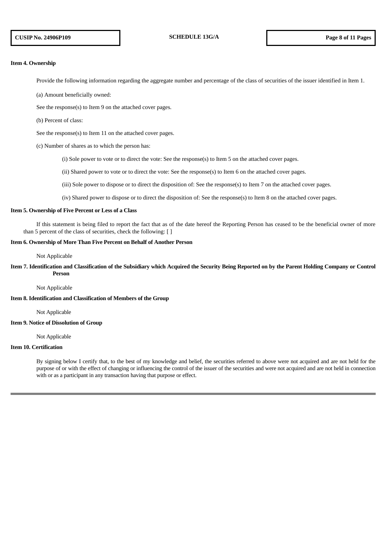#### **Item 4. Ownership**

Provide the following information regarding the aggregate number and percentage of the class of securities of the issuer identified in Item 1.

- (a) Amount beneficially owned:
- See the response(s) to Item 9 on the attached cover pages.
- (b) Percent of class:

See the response(s) to Item 11 on the attached cover pages.

- (c) Number of shares as to which the person has:
	- (i) Sole power to vote or to direct the vote: See the response(s) to Item 5 on the attached cover pages.
	- (ii) Shared power to vote or to direct the vote: See the response(s) to Item 6 on the attached cover pages.
	- (iii) Sole power to dispose or to direct the disposition of: See the response(s) to Item 7 on the attached cover pages.
	- (iv) Shared power to dispose or to direct the disposition of: See the response(s) to Item 8 on the attached cover pages.

### **Item 5. Ownership of Five Percent or Less of a Class**

If this statement is being filed to report the fact that as of the date hereof the Reporting Person has ceased to be the beneficial owner of more than 5 percent of the class of securities, check the following: [ ]

### **Item 6. Ownership of More Than Five Percent on Behalf of Another Person**

Not Applicable

# Item 7. Identification and Classification of the Subsidiary which Acquired the Security Being Reported on by the Parent Holding Company or Control **Person**

Not Applicable

# **Item 8. Identification and Classification of Members of the Group**

Not Applicable

# **Item 9. Notice of Dissolution of Group**

Not Applicable

# **Item 10. Certification**

By signing below I certify that, to the best of my knowledge and belief, the securities referred to above were not acquired and are not held for the purpose of or with the effect of changing or influencing the control of the issuer of the securities and were not acquired and are not held in connection with or as a participant in any transaction having that purpose or effect.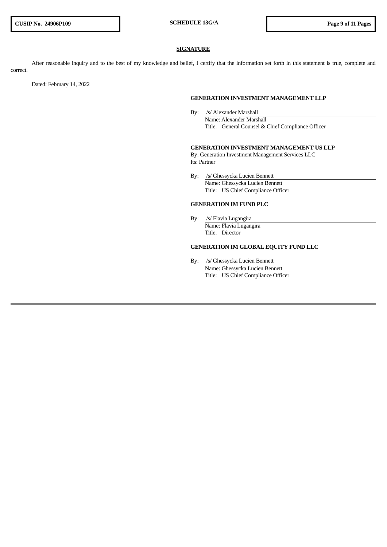### **SIGNATURE**

After reasonable inquiry and to the best of my knowledge and belief, I certify that the information set forth in this statement is true, complete and correct.

Dated: February 14, 2022

#### **GENERATION INVESTMENT MANAGEMENT LLP**

By: /s/ Alexander Marshall Name: Alexander Marshall Title: General Counsel & Chief Compliance Officer

# **GENERATION INVESTMENT MANAGEMENT US LLP**

By: Generation Investment Management Services LLC Its: Partner

By: /s/ Ghessycka Lucien Bennett Name: Ghessycka Lucien Bennett Title: US Chief Compliance Officer

# **GENERATION IM FUND PLC**

By: /s/ Flavia Lugangira Name: Flavia Lugangira Title: Director

# **GENERATION IM GLOBAL EQUITY FUND LLC**

By: /s/ Ghessycka Lucien Bennett Name: Ghessycka Lucien Bennett Title: US Chief Compliance Officer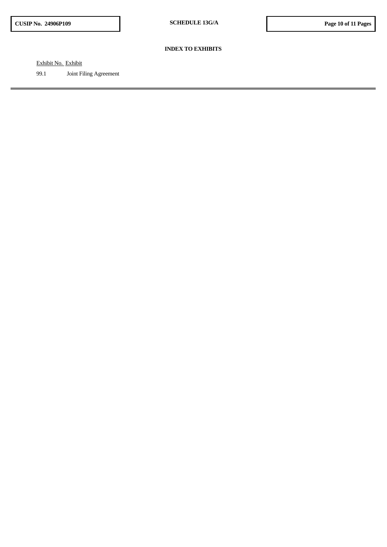### **INDEX TO EXHIBITS**

Exhibit No. Exhibit

99.1 Joint Filing Agreement